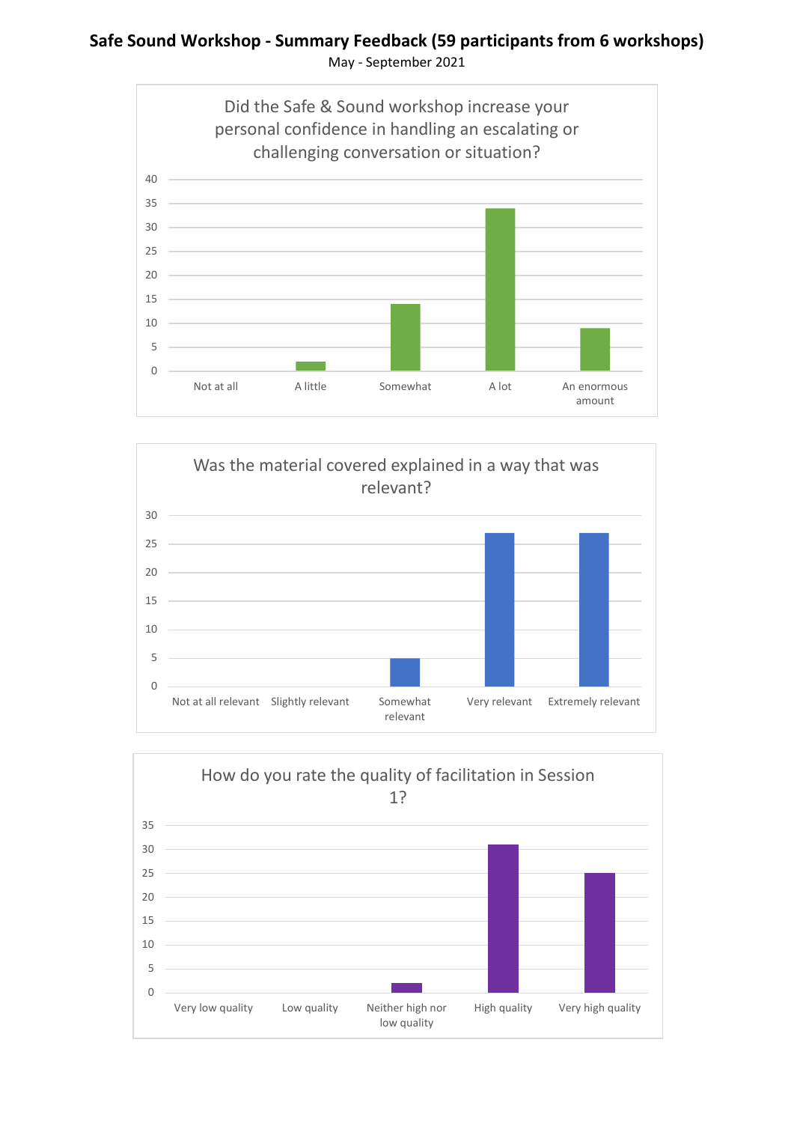### **Safe Sound Workshop - Summary Feedback (59 participants from 6 workshops)** May - September 2021





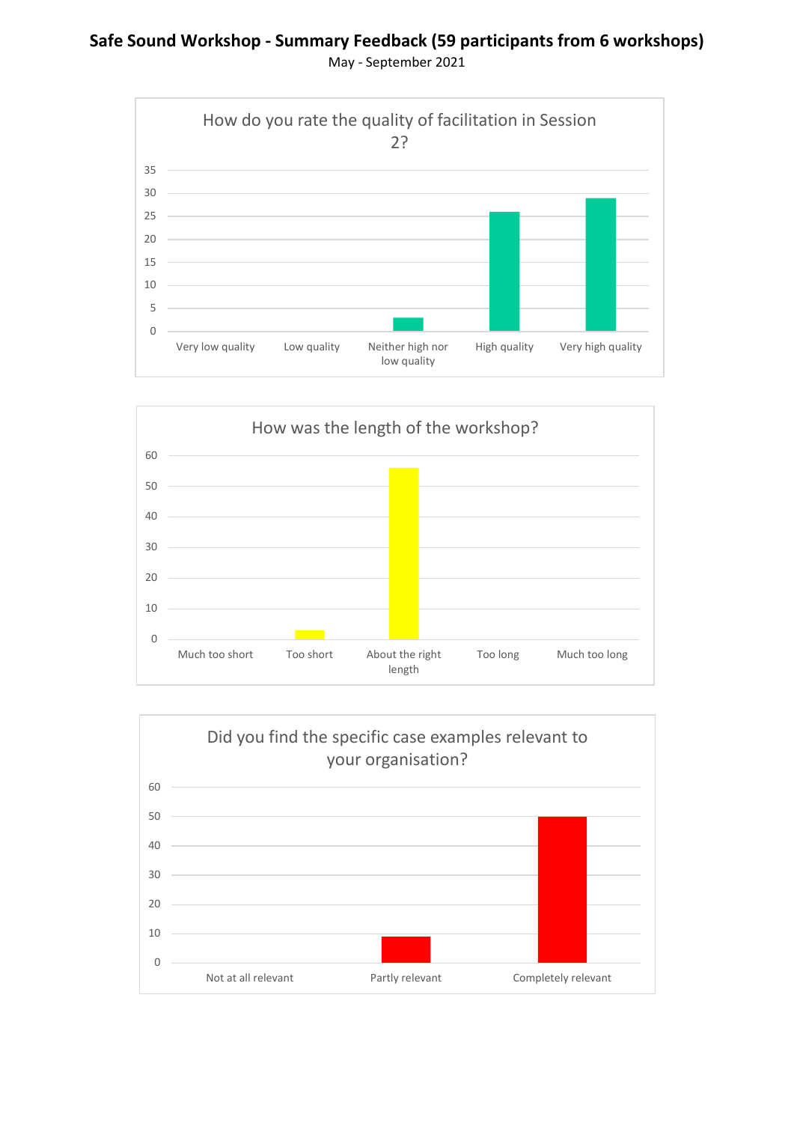### **Safe Sound Workshop - Summary Feedback (59 participants from 6 workshops)** May - September 2021





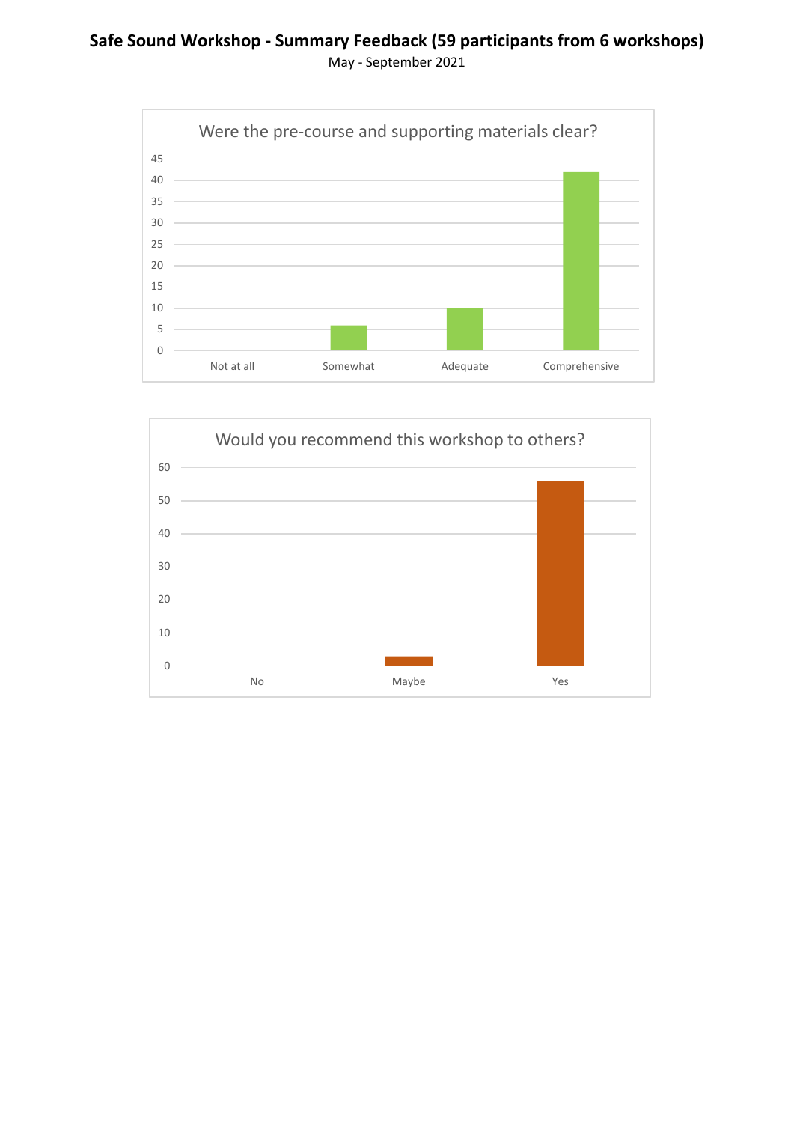## **Safe Sound Workshop - Summary Feedback (59 participants from 6 workshops)** May - September 2021